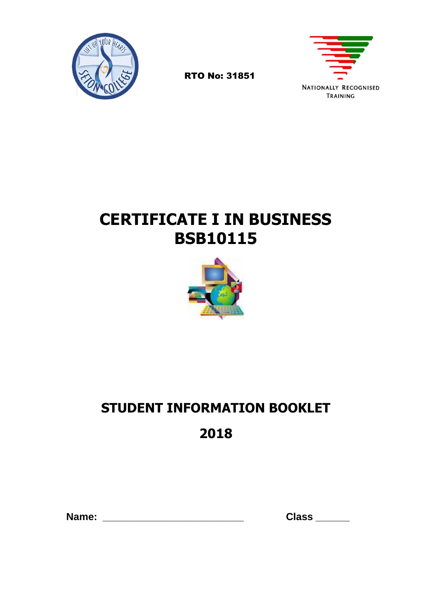

**NATIONALLY RECOGNISED** TRAINING

## **CERTIFICATE I IN BUSINESS BSB10115**

RTO No: 31851



# **STUDENT INFORMATION BOOKLET**

**2018**

| Name: |  |  |  |  |
|-------|--|--|--|--|
|       |  |  |  |  |

 **Name: \_\_\_\_\_\_\_\_\_\_\_\_\_\_\_\_\_\_\_\_\_\_\_\_\_ Class \_\_\_\_\_\_**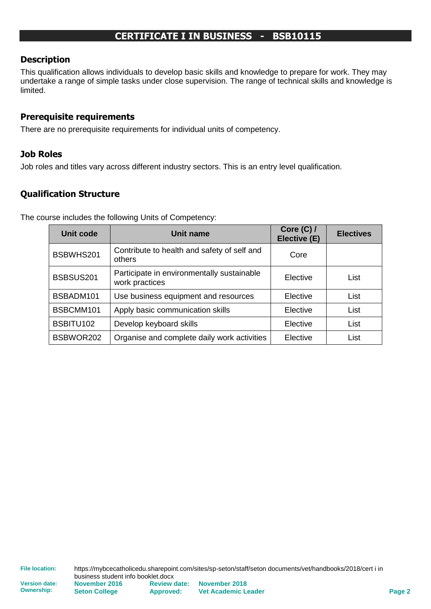## **CERTIFICATE I IN BUSINESS - BSB10115**

#### **Description**

This qualification allows individuals to develop basic skills and knowledge to prepare for work. They may undertake a range of simple tasks under close supervision. The range of technical skills and knowledge is limited.

#### **Prerequisite requirements**

There are no prerequisite requirements for individual units of competency.

#### **Job Roles**

Job roles and titles vary across different industry sectors. This is an entry level qualification.

#### **Qualification Structure**

The course includes the following Units of Competency:

| <b>Unit code</b> | <b>Unit name</b>                                             | Core $(C)$ /<br>Elective (E) | <b>Electives</b> |
|------------------|--------------------------------------------------------------|------------------------------|------------------|
| BSBWHS201        | Contribute to health and safety of self and<br>others        | Core                         |                  |
| BSBSUS201        | Participate in environmentally sustainable<br>work practices | Elective                     | List             |
| BSBADM101        | Use business equipment and resources                         | Elective                     | List             |
| BSBCMM101        | Apply basic communication skills                             | Elective                     | List             |
| BSBITU102        | Develop keyboard skills                                      | Elective                     | List             |
| BSBWOR202        | Organise and complete daily work activities                  | Elective                     | List             |

**Ownership:**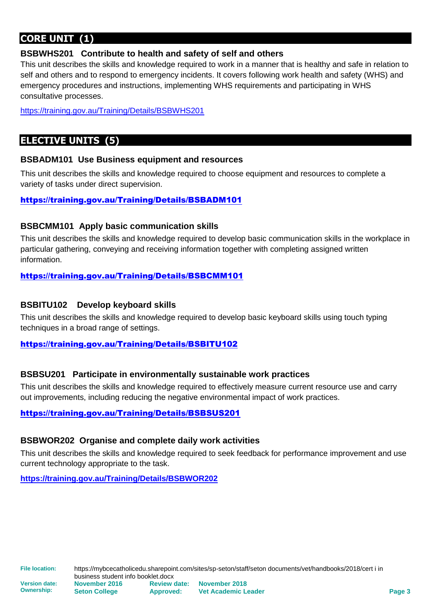## **CORE UNIT (1)**

#### **BSBWHS201 Contribute to health and safety of self and others**

This unit describes the skills and knowledge required to work in a manner that is healthy and safe in relation to self and others and to respond to emergency incidents. It covers following work health and safety (WHS) and emergency procedures and instructions, implementing WHS requirements and participating in WHS consultative processes.

<https://training.gov.au/Training/Details/BSBWHS201>

## **ELECTIVE UNITS (5)**

#### **BSBADM101 Use Business equipment and resources**

This unit describes the skills and knowledge required to choose equipment and resources to complete a variety of tasks under direct supervision.

#### <https://training.gov.au/Training/Details/BSBADM101>

#### **BSBCMM101 Apply basic communication skills**

This unit describes the skills and knowledge required to develop basic communication skills in the workplace in particular gathering, conveying and receiving information together with completing assigned written information.

#### <https://training.gov.au/Training/Details/BSBCMM101>

#### **BSBITU102 Develop keyboard skills**

This unit describes the skills and knowledge required to develop basic keyboard skills using touch typing techniques in a broad range of settings.

#### <https://training.gov.au/Training/Details/BSBITU102>

#### **BSBSU201 Participate in environmentally sustainable work practices**

This unit describes the skills and knowledge required to effectively measure current resource use and carry out improvements, including reducing the negative environmental impact of work practices.

<https://training.gov.au/Training/Details/BSBSUS201>

#### **BSBWOR202 Organise and complete daily work activities**

This unit describes the skills and knowledge required to seek feedback for performance improvement and use current technology appropriate to the task.

**<https://training.gov.au/Training/Details/BSBWOR202>**

**Version date: Ownership:**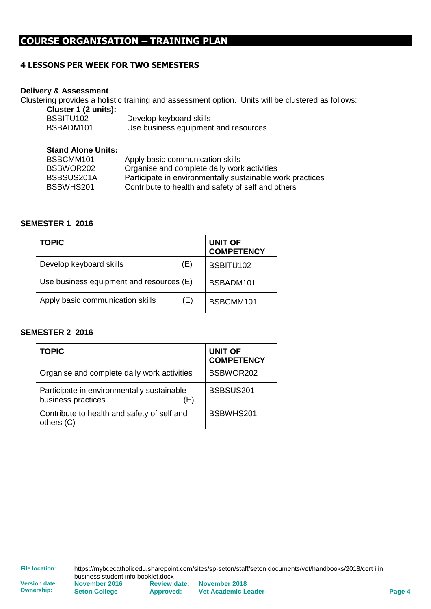## **COURSE ORGANISATION – TRAINING PLAN**

#### **4 LESSONS PER WEEK FOR TWO SEMESTERS**

#### **Delivery & Assessment**

Clustering provides a holistic training and assessment option. Units will be clustered as follows:

| Cluster 1 (2 units): |                                      |
|----------------------|--------------------------------------|
| BSBITU102            | Develop keyboard skills              |
| BSBADM101            | Use business equipment and resources |

#### **Stand Alone Units:**

| BSBCMM101  | Apply basic communication skills                          |
|------------|-----------------------------------------------------------|
| BSBWOR202  | Organise and complete daily work activities               |
| BSBSUS201A | Participate in environmentally sustainable work practices |
| BSBWHS201  | Contribute to health and safety of self and others        |

#### **SEMESTER 1 2016**

| <b>TOPIC</b>                             | <b>UNIT OF</b><br><b>COMPETENCY</b> |
|------------------------------------------|-------------------------------------|
| Develop keyboard skills<br>(E)           | BSBITU102                           |
| Use business equipment and resources (E) | BSBADM101                           |
| Apply basic communication skills<br>(E)  | BSBCMM101                           |

#### **SEMESTER 2 2016**

| <b>TOPIC</b>                                                            | <b>UNIT OF</b><br><b>COMPETENCY</b> |
|-------------------------------------------------------------------------|-------------------------------------|
| Organise and complete daily work activities                             | BSBWOR202                           |
| Participate in environmentally sustainable<br>business practices<br>(E) | BSBSUS201                           |
| Contribute to health and safety of self and<br>others (C)               | BSBWHS201                           |

**Version date: Ownership:**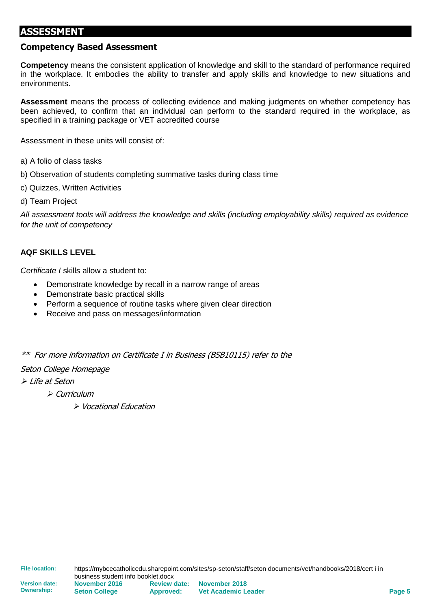#### **ASSESSMENT**

#### **Competency Based Assessment**

**Competency** means the consistent application of knowledge and skill to the standard of performance required in the workplace. It embodies the ability to transfer and apply skills and knowledge to new situations and environments.

**Assessment** means the process of collecting evidence and making judgments on whether competency has been achieved, to confirm that an individual can perform to the standard required in the workplace, as specified in a training package or VET accredited course

Assessment in these units will consist of:

- a) A folio of class tasks
- b) Observation of students completing summative tasks during class time
- c) Quizzes, Written Activities
- d) Team Project

*All assessment tools will address the knowledge and skills (including employability skills) required as evidence for the unit of competency*

#### **AQF SKILLS LEVEL**

*Certificate I* skills allow a student to:

- Demonstrate knowledge by recall in a narrow range of areas
- Demonstrate basic practical skills
- Perform a sequence of routine tasks where given clear direction
- Receive and pass on messages/information

\*\* For more information on Certificate I in Business (BSB10115) refer to the

#### Seton College Homepage

➢ Life at Seton

➢ Curriculum

➢ Vocational Education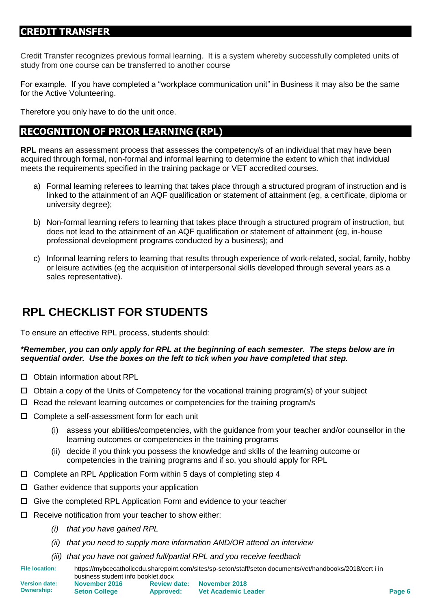## **CREDIT TRANSFER**

Credit Transfer recognizes previous formal learning. It is a system whereby successfully completed units of study from one course can be transferred to another course

For example. If you have completed a "workplace communication unit" in Business it may also be the same for the Active Volunteering.

Therefore you only have to do the unit once.

## **RECOGNITION OF PRIOR LEARNING (RPL)**

**RPL** means an assessment process that assesses the competency/s of an individual that may have been acquired through formal, non-formal and informal learning to determine the extent to which that individual meets the requirements specified in the training package or VET accredited courses.

- a) Formal learning referees to learning that takes place through a structured program of instruction and is linked to the attainment of an AQF qualification or statement of attainment (eg, a certificate, diploma or university degree);
- b) Non-formal learning refers to learning that takes place through a structured program of instruction, but does not lead to the attainment of an AQF qualification or statement of attainment (eg, in-house professional development programs conducted by a business); and
- c) Informal learning refers to learning that results through experience of work-related, social, family, hobby or leisure activities (eg the acquisition of interpersonal skills developed through several years as a sales representative).

## **RPL CHECKLIST FOR STUDENTS**

To ensure an effective RPL process, students should:

#### *\*Remember, you can only apply for RPL at the beginning of each semester. The steps below are in sequential order. Use the boxes on the left to tick when you have completed that step.*

- □ Obtain information about RPL
- $\Box$  Obtain a copy of the Units of Competency for the vocational training program(s) of your subject
- Read the relevant learning outcomes or competencies for the training program/s
- □ Complete a self-assessment form for each unit
	- (i) assess your abilities/competencies, with the guidance from your teacher and/or counsellor in the learning outcomes or competencies in the training programs
	- (ii) decide if you think you possess the knowledge and skills of the learning outcome or competencies in the training programs and if so, you should apply for RPL
- $\Box$  Complete an RPL Application Form within 5 days of completing step 4
- $\Box$  Gather evidence that supports your application
- $\Box$  Give the completed RPL Application Form and evidence to your teacher
- $\Box$  Receive notification from your teacher to show either:
	- *(i) that you have gained RPL*

**Seton College**

- *(ii) that you need to supply more information AND/OR attend an interview*
- *(iii) that you have not gained full/partial RPL and you receive feedback*

**Approved:**

**File location:** https://mybcecatholicedu.sharepoint.com/sites/sp-seton/staff/seton documents/vet/handbooks/2018/cert i in business student info booklet.docx **Version date: November 2016 Review date: November 2018**